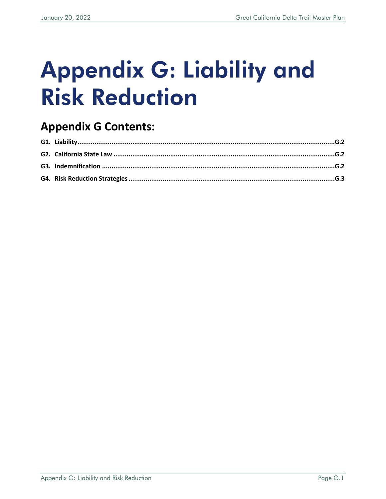# Appendix G: Liability and Risk Reduction

## **Appendix G Contents:**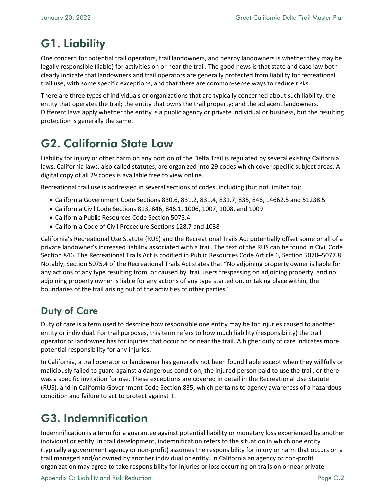## <span id="page-1-0"></span>G1. Liability

One concern for potential trail operators, trail landowners, and nearby landowners is whether they may be legally responsible (liable) for activities on or near the trail. The good news is that state and case law both clearly indicate that landowners and trail operators are generally protected from liability for recreational trail use, with some specific exceptions, and that there are common-sense ways to reduce risks.

There are three types of individuals or organizations that are typically concerned about such liability: the entity that operates the trail; the entity that owns the trail property; and the adjacent landowners. Different laws apply whether the entity is a public agency or private individual or business, but the resulting protection is generally the same.

## <span id="page-1-1"></span>G2. California State Law

Liability for injury or other harm on any portion of the Delta Trail is regulated by several existing California laws. California laws, also called statutes, are organized into 29 codes which cover specific subject areas. A digital copy of all 29 codes is available free to view online.

Recreational trail use is addressed in several sections of codes, including (but not limited to):

- California Government Code Sections 830.6, 831.2, 831.4, 831.7, 835, 846, 14662.5 and 51238.5
- California Civil Code Sections 813, 846, 846.1, 1006, 1007, 1008, and 1009
- California Public Resources Code Section 5075.4
- California Code of Civil Procedure Sections 128.7 and 1038

California's Recreational Use Statute (RUS) and the Recreational Trails Act potentially offset some or all of a private landowner's increased liability associated with a trail. The text of the RUS can be found in Civil Code Section 846. The Recreational Trails Act is codified in Public Resources Code Article 6, Section 5070–5077.8. Notably, Section 5075.4 of the Recreational Trails Act states that "No adjoining property owner is liable for any actions of any type resulting from, or caused by, trail users trespassing on adjoining property, and no adjoining property owner is liable for any actions of any type started on, or taking place within, the boundaries of the trail arising out of the activities of other parties."

#### Duty of Care

Duty of care is a term used to describe how responsible one entity may be for injuries caused to another entity or individual. For trail purposes, this term refers to how much liability (responsibility) the trail operator or landowner has for injuries that occur on or near the trail. A higher duty of care indicates more potential responsibility for any injuries.

In California, a trail operator or landowner has generally not been found liable except when they willfully or maliciously failed to guard against a dangerous condition, the injured person paid to use the trail, or there was a specific invitation for use. These exceptions are covered in detail in the Recreational Use Statute (RUS), and in California Government Code Section 835, which pertains to agency awareness of a hazardous condition and failure to act to protect against it.

## <span id="page-1-2"></span>G3. Indemnification

Indemnification is a term for a guarantee against potential liability or monetary loss experienced by another individual or entity. In trail development, indemnification refers to the situation in which one entity (typically a government agency or non-profit) assumes the responsibility for injury or harm that occurs on a trail managed and/or owned by another individual or entity. In California an agency or non-profit organization may agree to take responsibility for injuries or loss occurring on trails on or near private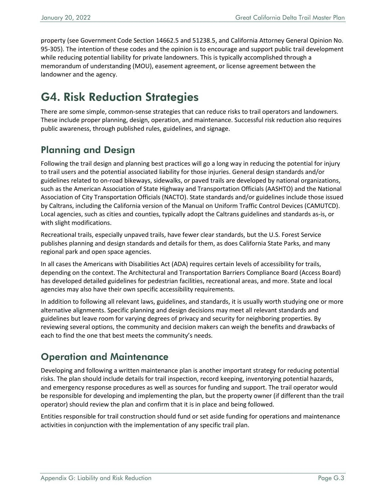property (see Government Code Section 14662.5 and 51238.5, and California Attorney General Opinion No. 95-305). The intention of these codes and the opinion is to encourage and support public trail development while reducing potential liability for private landowners. This is typically accomplished through a memorandum of understanding (MOU), easement agreement, or license agreement between the landowner and the agency.

## <span id="page-2-0"></span>G4. Risk Reduction Strategies

There are some simple, common-sense strategies that can reduce risks to trail operators and landowners. These include proper planning, design, operation, and maintenance. Successful risk reduction also requires public awareness, through published rules, guidelines, and signage.

#### Planning and Design

Following the trail design and planning best practices will go a long way in reducing the potential for injury to trail users and the potential associated liability for those injuries. General design standards and/or guidelines related to on-road bikeways, sidewalks, or paved trails are developed by national organizations, such as the American Association of State Highway and Transportation Officials (AASHTO) and the National Association of City Transportation Officials (NACTO). State standards and/or guidelines include those issued by Caltrans, including the California version of the Manual on Uniform Traffic Control Devices (CAMUTCD). Local agencies, such as cities and counties, typically adopt the Caltrans guidelines and standards as-is, or with slight modifications.

Recreational trails, especially unpaved trails, have fewer clear standards, but the U.S. Forest Service publishes planning and design standards and details for them, as does California State Parks, and many regional park and open space agencies.

In all cases the Americans with Disabilities Act (ADA) requires certain levels of accessibility for trails, depending on the context. The Architectural and Transportation Barriers Compliance Board (Access Board) has developed detailed guidelines for pedestrian facilities, recreational areas, and more. State and local agencies may also have their own specific accessibility requirements.

In addition to following all relevant laws, guidelines, and standards, it is usually worth studying one or more alternative alignments. Specific planning and design decisions may meet all relevant standards and guidelines but leave room for varying degrees of privacy and security for neighboring properties. By reviewing several options, the community and decision makers can weigh the benefits and drawbacks of each to find the one that best meets the community's needs.

#### Operation and Maintenance

Developing and following a written maintenance plan is another important strategy for reducing potential risks. The plan should include details for trail inspection, record keeping, inventorying potential hazards, and emergency response procedures as well as sources for funding and support. The trail operator would be responsible for developing and implementing the plan, but the property owner (if different than the trail operator) should review the plan and confirm that it is in place and being followed.

Entities responsible for trail construction should fund or set aside funding for operations and maintenance activities in conjunction with the implementation of any specific trail plan.